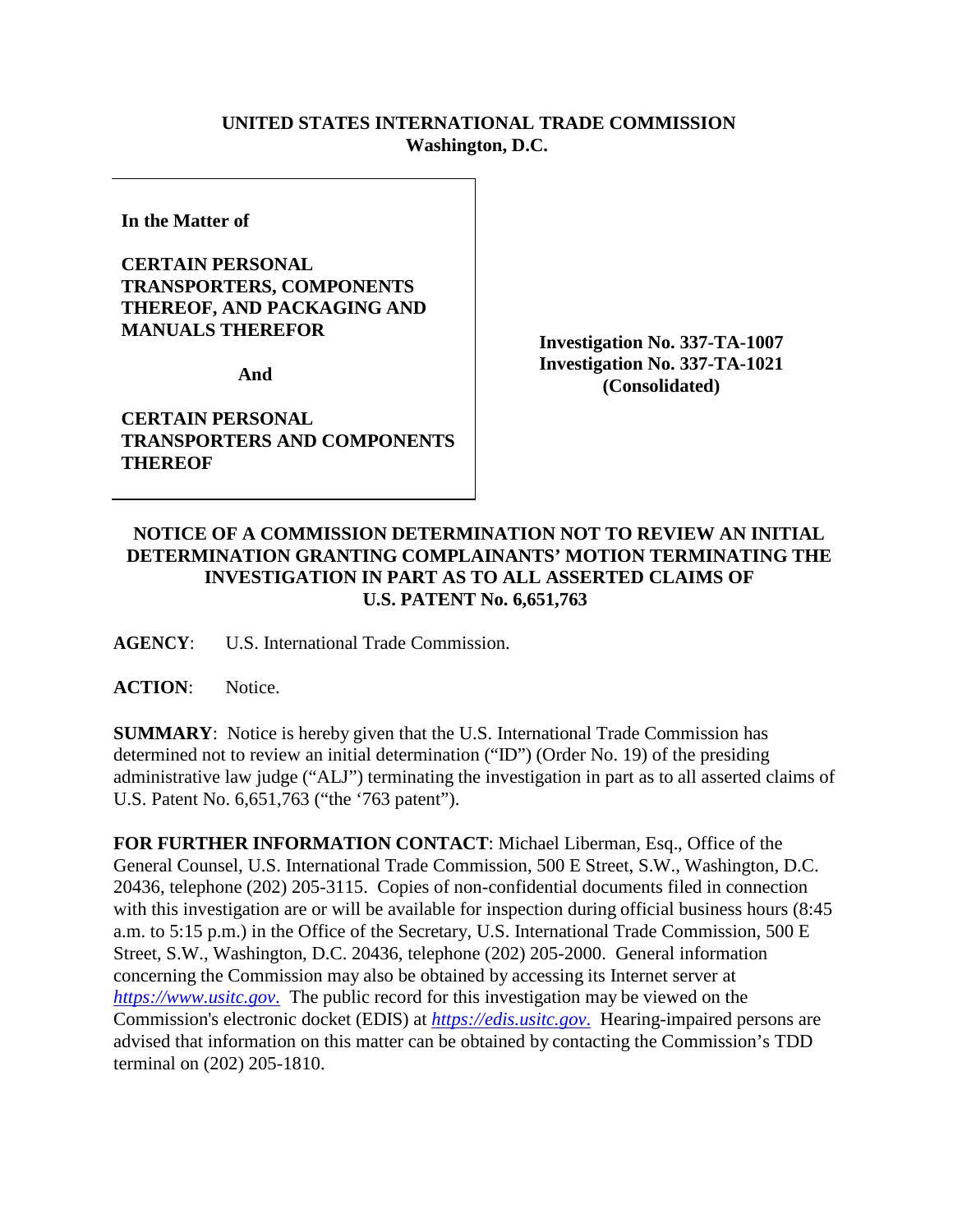## **UNITED STATES INTERNATIONAL TRADE COMMISSION Washington, D.C.**

**In the Matter of** 

## **CERTAIN PERSONAL TRANSPORTERS, COMPONENTS THEREOF, AND PACKAGING AND MANUALS THEREFOR**

**And** 

**CERTAIN PERSONAL TRANSPORTERS AND COMPONENTS THEREOF**

**Investigation No. 337-TA-1007 Investigation No. 337-TA-1021 (Consolidated)**

## **NOTICE OF A COMMISSION DETERMINATION NOT TO REVIEW AN INITIAL DETERMINATION GRANTING COMPLAINANTS' MOTION TERMINATING THE INVESTIGATION IN PART AS TO ALL ASSERTED CLAIMS OF U.S. PATENT No. 6,651,763**

**AGENCY**: U.S. International Trade Commission.

ACTION: Notice.

**SUMMARY**: Notice is hereby given that the U.S. International Trade Commission has determined not to review an initial determination ("ID") (Order No. 19) of the presiding administrative law judge ("ALJ") terminating the investigation in part as to all asserted claims of U.S. Patent No. 6,651,763 ("the '763 patent").

**FOR FURTHER INFORMATION CONTACT**: Michael Liberman, Esq., Office of the General Counsel, U.S. International Trade Commission, 500 E Street, S.W., Washington, D.C. 20436, telephone (202) 205-3115. Copies of non-confidential documents filed in connection with this investigation are or will be available for inspection during official business hours (8:45 a.m. to 5:15 p.m.) in the Office of the Secretary, U.S. International Trade Commission, 500 E Street, S.W., Washington, D.C. 20436, telephone (202) 205-2000. General information concerning the Commission may also be obtained by accessing its Internet server at *[https://www.usitc.gov](https://www.usitc.gov./)*. The public record for this investigation may be viewed on the Commission's electronic docket (EDIS) at *[https://edis.usitc.gov](https://edis.usitc.gov./)*. Hearing-impaired persons are advised that information on this matter can be obtained by contacting the Commission's TDD terminal on (202) 205-1810.